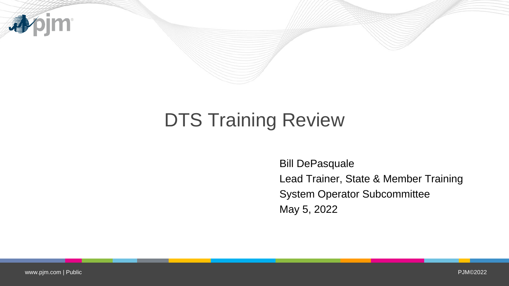

## DTS Training Review

Bill DePasquale Lead Trainer, State & Member Training System Operator Subcommittee May 5, 2022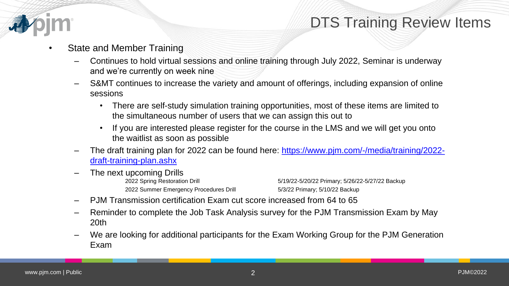

- State and Member Training
	- Continues to hold virtual sessions and online training through July 2022, Seminar is underway and we're currently on week nine
	- S&MT continues to increase the variety and amount of offerings, including expansion of online sessions
		- There are self-study simulation training opportunities, most of these items are limited to the simultaneous number of users that we can assign this out to
		- If you are interested please register for the course in the LMS and we will get you onto the waitlist as soon as possible
	- [The draft training plan for 2022 can be found here: https://www.pjm.com/-/media/training/2022](https://www.pjm.com/-/media/training/2022-draft-training-plan.ashx) draft-training-plan.ashx
	- The next upcoming Drills 2022 Summer Emergency Procedures Drill 5/3/22 Primary; 5/10/22 Backup

2022 Spring Restoration Drill 5/19/22-5/20/22 Primary; 5/26/22-5/27/22 Backup

- PJM Transmission certification Exam cut score increased from 64 to 65
- Reminder to complete the Job Task Analysis survey for the PJM Transmission Exam by May 20th
- We are looking for additional participants for the Exam Working Group for the PJM Generation Exam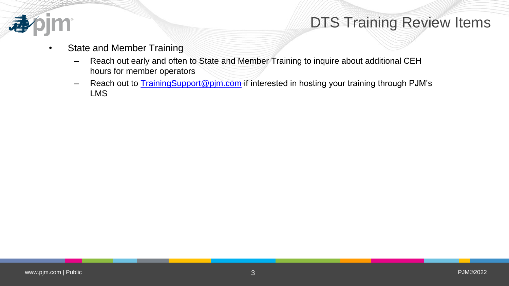

## DTS Training Review Items

- State and Member Training
	- Reach out early and often to State and Member Training to inquire about additional CEH hours for member operators
	- Reach out to **TrainingSupport@pjm.com** if interested in hosting your training through PJM's LMS